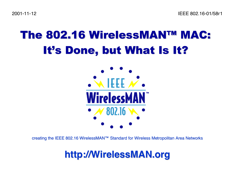### The 802.16 WirelessMAN™ MAC: It's Done, but What Is It?



creating the IEEE 802.16 WirelessMAN™ Standard for Wireless Metropolitan Area Networks

#### **<http://> [http://W](http://)irelessMAN WirelessMAN.org**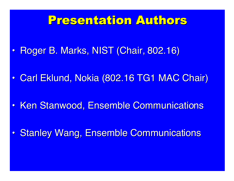### Presentation Authors Presentation Authors

- •Roger B. Marks, NIST (Chair, 802.16)
- $\bullet$ Carl Eklund, Nokia (802.16 TG1 MAC Chair)
- $\bullet$ **• Ken Stanwood, Ensemble Communications**
- •**Stanley Wang, Ensemble Communications**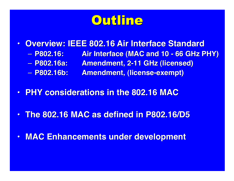

- $\bullet$ **• Overview: IEEE 802.16 Air Interface Standard** 
	- P802.16: **P802.16: P802.16: Air Interface (MAC and 10 - 66 GHz PHY) Air Interface (MAC and 10 - 66 GHz PHY)**
	- P802.16a: **P802.16a: P802.16a: Amendment, 2-11 GHz (licensed) Amendment, 2-11 GHz (licensed)**
	- P802.16b: **P802.16b: P802.16b: Amendment, (license-exempt) Amendment, (license-exempt)**
- **PHY considerations in the 802.16 MAC PHY considerations in the 802.16 MAC**
- **The 802.16 MAC as defined in P802.16/D5 The 802.16 MAC as defined in P802.16/D5**
- **MAC Enhancements under development**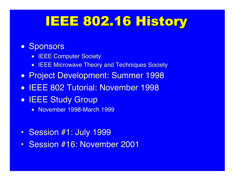## IEEE 802.16 History

#### • Sponsors

- $\bullet$ **IEEE Computer Society**
- IEEE Microwave Theory and Techniques Society
- **Project Development: Summer 1998**
- IEEE 802 Tutorial: November 1998
- **IEEE Study Group** 
	- November 1998-March 1999
- Session #1: July 1999
- •Session #16: November 2001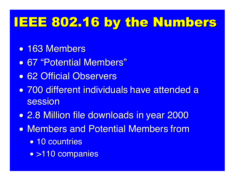## IEEE 802.16 by the Numbers

- 163 Members
- 67 "Potential Members"
- 62 Official Observers
- 700 different individuals have attended a 700 different individuals have attended a session
- $\bullet$ **• 2.8 Million file downloads in year 2000**
- Members and Potential Members from
	- 10 countries
	- >110 companies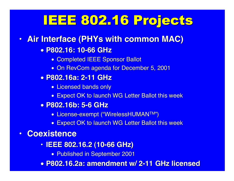## IEEE 802.16 Projects

#### **• Air Interface (PHYs with common MAC)**

- **P802.16: 10-66 GHz P802.16: 10-66 GHz**
	- Completed IEEE Sponsor Ballot
	- On RevCom agenda for December 5, 2001
- **P802.16a: 2-11 GHz P802.16a: 2-11 GHz**
	- Licensed bands only
	- Expect OK to launch WG Letter Ballot this week
- **P802.16b: 5-6 GHz P802.16b: 5-6 GHz**
	- $\bullet$  License-exempt ("WirelessHUMAN™")
	- Expect OK to launch WG Letter Ballot this week

#### **• Coexistence**

- **IEEE 802.16.2 (10-66 GHz) IEEE 802.16.2 (10-66 GHz)**
	- Published in September 2001
- **P802.16.2a: amendment w/ 2-11 P802.16.2a: amendment w/ 2-11 GHz licensed licensed**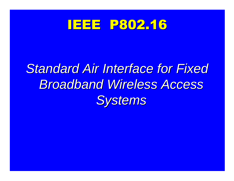

# **Standard Air Interface for Fixed** *Broadband Wireless Access Broadband Wireless Access Systems Systems*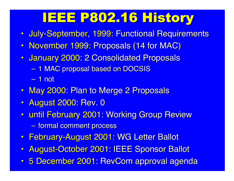# IEEE P802.16 History

- July-September, 1999: Functional Requirements
- November 1999: Proposals (14 for MAC)
- January 2000: 2 Consolidated Proposals
	- $\sim$ – 1 MAC proposal based on DOCSIS

– 1 not

- May 2000: Plan to Merge 2 Proposals
- August 2000: Rev. 0
- until February 2001: Working Group Review –<u>– formal comment process</u>
- February-August 2001: WG Letter Ballot
- August-October 2001: IEEE Sponsor Ballot
- 5 December 2001: RevCom approval agenda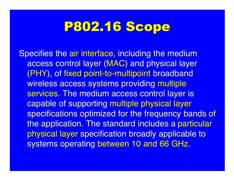### P802.16 Scope

Specifies the air interface, including the medium access control layer (MAC) and physical layer (PHY), of fixed point-to-multipoint broadband wireless access systems providing multiple services. The medium access control layer is capable of supporting multiple physical layer specifications optimized for the frequency bands of the application. The standard includes a particular physical layer specification broadly applicable to systems operating between 10 and 66 GHz.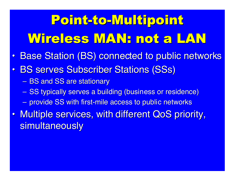# Point-to-Multipoint Wireless MAN: not a LAN Wireless MAN: not a LAN

- $\bullet$ **Base Station (BS) connected to public networks**
- $\bullet$ • BS serves Subscriber Stations (SSs)
	- BS and SS are stationary
	- SS typically serves a building (business or residence)
	- $\blacksquare$  provide SS with first-mile access to public networks
- •Multiple services, with different QoS priority, simultaneously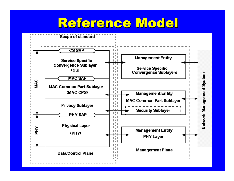### Reference Model

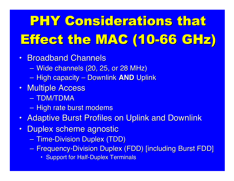# PHY Considerations that Effect the MAC (10-66 GHz)

- Broadband Channels
	- $\mathcal{L}_{\mathcal{A}}$ — Wide channels (20, 25, or 28 MHz)
	- –High capacity – Downlink High capacity – Downlink **AND** Uplink
- Multiple Access
	- TDM/TDMA
	- $\mathcal{L}_{\mathcal{A}}$ – High rate burst modems
- Adaptive Burst Profiles on Uplink and Downlink
- •**Duplex scheme agnostic** 
	- $\sim$ — Time-Division Duplex (TDD)
	- $\sim$ — Frequency-Division Duplex (FDD) [including Burst FDD]
		- Support for Half-Duplex Terminals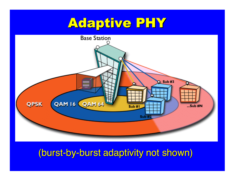### Adaptive PHY



#### (burst-by-burst adaptivity not shown)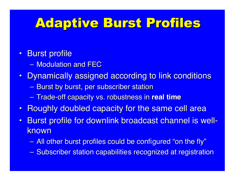### **Adaptive Burst Profiles**

#### • Burst profile

- Modulation and FEC
- Dynamically assigned according to link conditions
	- –– Burst by burst, per subscriber station
	- –Trade-off capacity vs. robustness in Trade-off capacity vs. robustness in **real time real time**
- Roughly doubled capacity for the same cell area
- •Burst profile for downlink broadcast channel is wellknown
	- –— All other burst profiles could be configured "on the fly"
	- $\mathcal{L}_{\mathcal{A}}$ – Subscriber station capabilities recognized at registration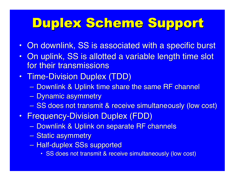### Duplex Scheme Support

- On downlink, SS is associated with a specific burst
- On uplink, SS is allotted a variable length time slot for their transmissions
- Time-Division Duplex (TDD)
	- $\sim$ – Downlink & Uplink time share the same RF channel
	- $\mathcal{L}_{\mathcal{A}}$ <mark>– Dynamic asymmetry</mark>
	- $\sim$ – SS does not transmit & receive simultaneously (low cost)
- Frequency-Division Duplex (FDD)
	- $\sim$ – Downlink & Uplink on separate RF channels
	- $\sim$ <mark>– Static asymmetry</mark>
	- $\sim$ – Half-duplex SSs supported
		- SS does not transmit & receive simultaneously (low cost)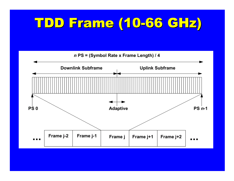## TDD Frame (10-66 TDD Frame (10-66 GHz )

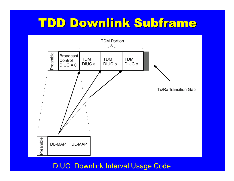### TDD Downlink Subframe



DIUC: Downlink Interval Usage Code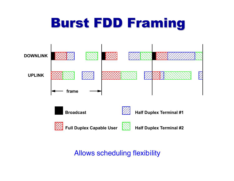# **Burst FDD Framing**



#### Allows scheduling flexibility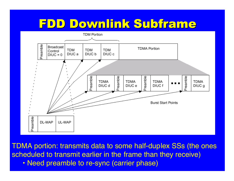### FDD Downlink Subframe



TDMA portion: transmits data to some half-duplex SSs (the ones scheduled to transmit earlier in the frame than they receive) • Need preamble to re-sync (carrier phase)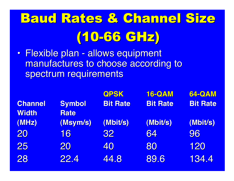# **Baud Rates & Channel Size** (10-66 GHz )

 $\bullet$ • Flexible plan - allows equipment manufactures to choose according to spectrum requirements

|                |               | <b>QPSK</b>     | <b>16-QAM</b>   | <b>64-QAM</b>   |
|----------------|---------------|-----------------|-----------------|-----------------|
| <b>Channel</b> | <b>Symbol</b> | <b>Bit Rate</b> | <b>Bit Rate</b> | <b>Bit Rate</b> |
| <b>Width</b>   | <b>Rate</b>   |                 |                 |                 |
| (MHz)          | (Msym/s)      | (Mbit/s)        | (Mbit/s)        | (Mbit/s)        |
| 20             | 16            | 32              | 64              | 96              |
| 25             | 20            | 40              | 80              | <b>120</b>      |
| 28             | <b>22.4</b>   | 44.8            | 89.6            | <b>134.4</b>    |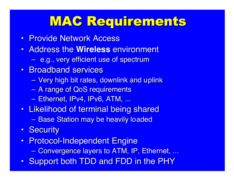### MAC Requirements

- Provide Network Access
- **Address the Wireless environment** 
	- e.g., very efficient use of spectrum
- Broadband services
	- $\mathcal{L}_{\mathcal{A}}$ — Very high bit rates, downlink and uplink
	- $\mathcal{L}_{\mathcal{A}}$ – A range of QoS requirements
	- –— Ethernet, IPv4, IPv6, ATM, ...
- Likelihood of terminal being shared
	- –– Base Station may be heavily loaded
- Security
- Protocol-Independent Engine
	- $\mathcal{L}_{\mathcal{A}}$ — Convergence layers to ATM, IP, Ethernet, ...
- Support both TDD and FDD in the PHY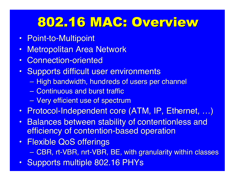### 802.16 MAC: Overview

- Point-to-Multipoint
- •**Metropolitan Area Network**
- $\bullet$ • Connection-oriented
- Supports difficult user environments
	- $\sim$ – High bandwidth, hundreds of users per channel
	- Continuous and burst traffic
	- $\mathcal{L}_{\mathcal{A}}$ – Very efficient use of spectrum
- Protocol-Independent core (ATM, IP, Ethernet, …)
- Balances between stability of contentionless and efficiency of contention-based operation
- Flexible QoS offerings
	- $\sim$ — CBR, rt-VBR, nrt-VBR, BE, with granularity within classes
- Supports multiple 802.16 PHYs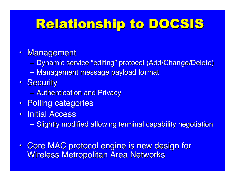## Relationship to DOCSIS

- Management
	- –– Dynamic service "editing" protocol (Add/Change/Delete)
	- $\sim$ — Management message payload format
- Security
	- $\sim$ — Authentication and Privacy
- Polling categories
- $\bullet$ **Initial Access** 
	- –– Slightly modified allowing terminal capability negotiation
- Core MAC protocol engine is new design for Wireless Metropolitan Area Networks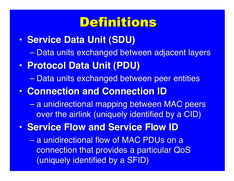### Definitions Definitions

- $\bullet$ **• Service Data Unit (SDU)** 
	- $\mathcal{L}_{\mathcal{A}}$ <u>– Data units exchanged between adjacent layers</u>
- $\bullet$  **Protocol Data Unit (PDU) Protocol Data Unit (PDU)**
	- $\mathcal{L}_{\mathcal{A}}$  , where  $\mathcal{L}_{\mathcal{A}}$  is the set of the set of the set of the set of the set of the set of the set of the set of the set of the set of the set of the set of the set of the set of the set of the set of the <u>– Data units exchanged between peer entities</u>
- $\bullet$ **• Connection and Connection ID** 
	- a unidirectional mapping between MAC peers over the airlink (uniquely identified by a CID)
- $\bullet$ **Service Flow and Service Flow ID** 
	- $\mathcal{L}_{\mathcal{A}}$ – a unidirectional flow of MAC PDUs on a connection that provides a particular QoS (uniquely identified by a SFID)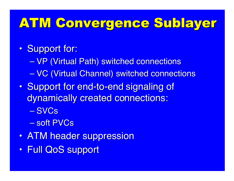### ATM Convergence Sublayer

#### $\bullet$ • Support for:

- $\mathcal{L}_{\mathcal{A}}$  , where  $\mathcal{L}_{\mathcal{A}}$  is the set of the set of the set of the set of the set of the set of the set of the set of the set of the set of the set of the set of the set of the set of the set of the set of the – VP (Virtual Path) switched connections
- $\mathcal{L}_{\mathcal{A}}$ – VC (Virtual Channel) switched connections
- $\bullet$ • Support for end-to-end signaling of dynamically created connections:
	- SVCs
	- soft PVCs
- $\bullet$ • ATM header suppression
- $\bullet$ • Full QoS support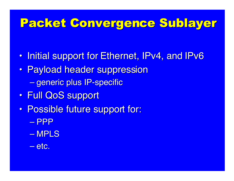### Packet Convergence Sublayer

- $\bullet$ • Initial support for Ethernet, IPv4, and IPv6
- $\bullet$ • Payload header suppression <mark>– generic plus IP-specific</mark>
- $\bullet$ • Full QoS support
- $\bullet$ • Possible future support for:
	- PPP
	- MPLS
	- etc.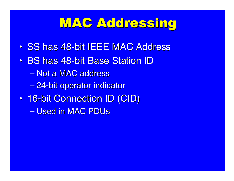### MAC Addressing

- $\bullet$ • SS has 48-bit IEEE MAC Address
- $\bullet$ • BS has 48-bit Base Station ID
	- $\mathcal{L}_{\mathcal{A}}$  , where  $\mathcal{L}_{\mathcal{A}}$  is the set of the set of the set of the set of the set of the set of the set of the set of the set of the set of the set of the set of the set of the set of the set of the set of the – Not a MAC address
	- 24-bit operator indicator
- $\bullet$ • 16-bit Connection ID (CID)
	- $\mathcal{L}_{\mathcal{A}}$  , where  $\mathcal{L}_{\mathcal{A}}$  is the set of the set of the set of the set of the set of the set of the set of the set of the set of the set of the set of the set of the set of the set of the set of the set of the – Used in MAC PDUs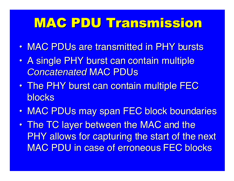### MAC PDU Transmission MAC PDU Transmission

- $\bullet$ • MAC PDUs are transmitted in PHY bursts
- $\bullet$ • A single PHY burst can contain multiple *Concatenated Concatenated* MAC PDUs
- $\bullet$ • The PHY burst can contain multiple FEC blocks
- $\bullet$ • MAC PDUs may span FEC block boundaries
- $\bullet$ • The TC layer between the MAC and the PHY allows for capturing the start of the next **MAC PDU in case of erroneous FEC blocks**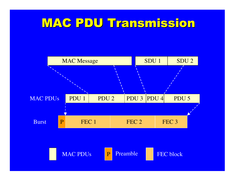### MAC PDU Transmission MAC PDU Transmission

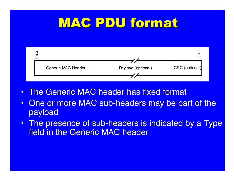### MAC PDU format



- The Generic MAC header has fixed format
- $\bullet$ One or more MAC sub-headers may be part of the payload
- The presence of sub-headers is indicated by a Type field in the Generic MAC header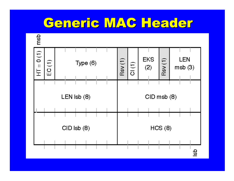### Generic MAC Header

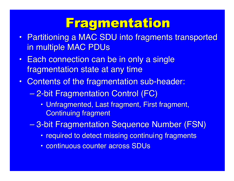### **Fragmentation**

- Partitioning a MAC SDU into fragments transported in multiple MAC PDUs
- $\textcolor{red}{\bullet}$  Each connection can be in only a single fragmentation state at any time
- Contents of the fragmentation sub-header:
	- 2-bit Fragmentation Control (FC)
		- Unfragmented, Last fragment, First fragment, **Continuing fragment**
	- 3-bit Fragmentation Sequence Number (FSN)
		- required to detect missing continuing fragments
		- continuous counter across SDUs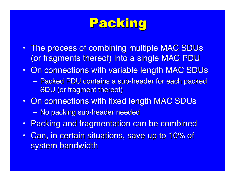### Packing

- The process of combining multiple MAC SDUs (or fragments thereof) into a single MAC PDU
- On connections with variable length MAC SDUs
	- –– Packed PDU contains a sub-header for each packed SDU (or fragment thereof)
- On connections with fixed length MAC SDUs
	- $\mathcal{L}_{\mathcal{A}}$ — No packing sub-header needed
- Packing and fragmentation can be combined
- $\bullet$ Can, in certain situations, save up to 10% of system bandwidth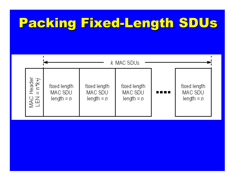# Packing Fixed-Length Packing Fixed-Length SDUs

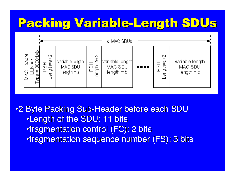### Packing Variable-Length Packing Variable-Length SDUs



•2 Byte Packing Sub-Header before each SDU •Length of the SDU: 11 bits •fragmentation control (FC): 2 bits •fragmentation sequence number (FS): 3 bits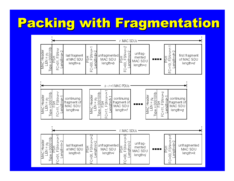# Packing with Fragmentation

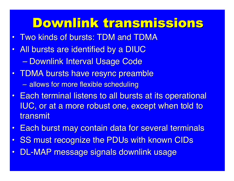## Downlink transmissions Downlink transmissions

- $\bullet$ • Two kinds of bursts: TDM and TDMA
- $\bullet$ All bursts are identified by a DIUC  $\mathcal{L}_{\mathcal{A}}$ <u>– Downlink Interval Usage Code</u>
- TDMA bursts have resync preamble  $-$  allows for more flexible scheduling
- $\bullet$ **Each terminal listens to all bursts at its operational Each terminal listens to all bursts at its operational** IUC, or at a more robust one, except when told to transmit
- $\bullet$ Each burst may contain data for several terminals
- $\bullet$ **SS must recognize the PDUs with known CIDs**
- $\bullet$ DL-MAP message signals downlink usage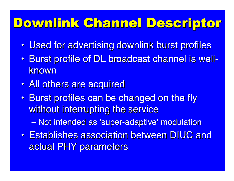# Downlink Channel Descriptor

- $\bullet$ • Used for advertising downlink burst profiles
- $\bullet$ • Burst profile of DL broadcast channel is wellknown
- $\bullet$ • All others are acquired
- $\bullet$ • Burst profiles can be changed on the fly without interrupting the service

— Not intended as 'super-adaptive' modulation

 $\bullet$ **• Establishes association between DIUC and** actual PHY parameters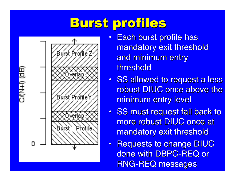## **Burst profiles**



- $\bullet$ **Each burst profile has** mandatory exit threshold and minimum entry threshold
- SS allowed to request a less robust DIUC once above the minimum entry level
- SS must request fall back to more robust DIUC once at mandatory exit threshold
- •**Requests to change DIUC** done with DBPC-REQ or **RNG-REQ messages**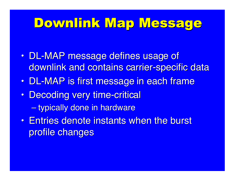### Downlink Map Message

- $\bullet$ • DL-MAP message defines usage of downlink and contains carrier-specific data
- $\bullet$ • DL-MAP is first message in each frame
- $\bullet$ • Decoding very time-critical – <del>Jan Karl II.</del> – typically done in hardware
- $\bullet$ **• Entries denote instants when the burst** profile changes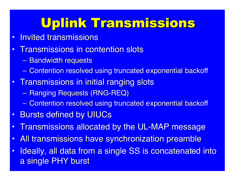# Uplink Transmissions

- •**Invited transmissions**
- •**Transmissions in contention slots** 
	- <u>– Bandwidth requests</u>
	- –– Contention resolved using truncated exponential backoff
- $\bullet$ Transmissions in initial ranging slots
	- Ranging Requests (RNG-REQ)
	- Contention resolved using truncated exponential backoff
- $\bullet$ **Bursts defined by UIUCs**
- •Transmissions allocated by the UL-MAP message
- •All transmissions have synchronization preamble
- $\bullet$ Ideally, all data from a single SS is concatenated into a single PHY burst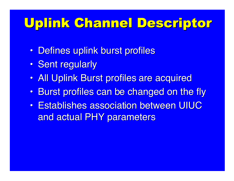# Uplink Channel Descriptor

- $\bullet$ • Defines uplink burst profiles
- •• Sent regularly
- $\bullet$ • All Uplink Burst profiles are acquired
- $\bullet$ Burst profiles can be changed on the fly
- $\bullet$ **• Establishes association between UIUC** and actual PHY parameters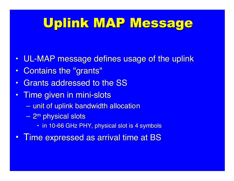# Uplink MAP Message

- •UL-MAP message defines usage of the uplink
- $\bullet$ Contains the "grants"
- $\bullet$ • Grants addressed to the SS
- $\bullet$ Time given in mini-slots
	- unit of uplink bandwidth allocation
	- <mark>– 2<sup>m</sup> physical slots</mark>
		- $\bm{\cdot}$  in 10-66 GHz PHY, physical slot is 4 symbols
- $\bullet$ Time expressed as arrival time at BS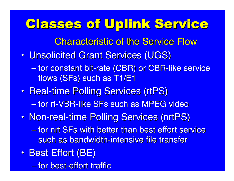## Classes of Uplink Service

**Characteristic of the Service Flow** 

- $\bullet$ **· Unsolicited Grant Services (UGS)** 
	- $\mathcal{L}_{\mathcal{A}}$ – for constant bit-rate (CBR) or CBR-like service flows (SFs) such as T1/E1
- $\bullet$ • Real-time Polling Services (rtPS)  $\mathcal{L}_{\mathcal{A}}$ – for rt-VBR-like SFs such as MPEG video
- $\bullet$ • Non-real-time Polling Services (nrtPS)
	- $\mathcal{L}_{\mathcal{A}}$  , where  $\mathcal{L}_{\mathcal{A}}$  is the set of the set of the set of the set of the set of the set of the set of the set of the set of the set of the set of the set of the set of the set of the set of the set of the – for nrt SFs with better than best effort service such as bandwidth-intensive file transfer
- $\bullet$ • Best Effort (BE)

 $\mathcal{L}_{\mathcal{A}}$ – for best-effort traffic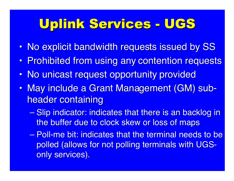# Uplink Services - UGS

- $\bullet$ • No explicit bandwidth requests issued by SS
- $\bullet$ • Prohibited from using any contention requests
- $\bullet$ • No unicast request opportunity provided
- $\bullet$ • May include a Grant Management (GM) subheader containing
	- $\mathcal{L}_{\mathcal{A}}$ – Slip indicator: indicates that there is an backlog in the buffer due to clock skew or loss of maps
	- Poll-me bit: indicates that the terminal needs to be polled (allows for not polling terminals with UGSonly services).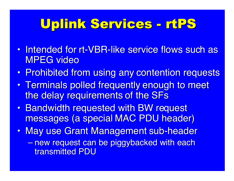# Uplink Services - Uplink Services - rtPS

- $\bullet$ • Intended for rt-VBR-like service flows such as MPEG video
- $\bullet$ • Prohibited from using any contention requests
- $\bullet$ • Terminals polled frequently enough to meet the delay requirements of the SFs
- $\bullet$ • Bandwidth requested with BW request messages (a special MAC PDU header)
- •May use Grant Management sub-header
	- $\mathcal{L}_{\mathcal{A}}$  , where  $\mathcal{L}_{\mathcal{A}}$  is the set of the set of the set of the set of the set of the set of the set of the set of the set of the set of the set of the set of the set of the set of the set of the set of the – new request can be piggybacked with each transmitted PDU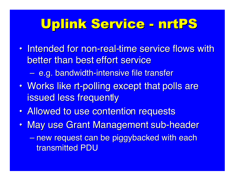## Uplink Service - Uplink Service - nrtPS

 $\bullet$ • Intended for non-real-time service flows with better than best effort service

– <del>Jan Karl II.</del> – e.g. bandwidth-intensive file transfer

- $\bullet$ • Works like rt-polling except that polls are issued less frequently
- $\bullet$ • Allowed to use contention requests
- $\bullet$ • May use Grant Management sub-header  $\mathcal{L}_{\mathcal{A}}$  , where  $\mathcal{L}_{\mathcal{A}}$  is the set of the set of the set of the set of the set of the set of the set of the set of the set of the set of the set of the set of the set of the set of the set of the set of the – new request can be piggybacked with each transmitted PDU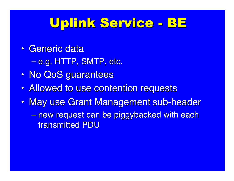# Uplink Service - BE

 $\bullet$ • Generic data

> $\mathcal{L}_{\mathcal{A}}$  , where  $\mathcal{L}_{\mathcal{A}}$  is the set of the set of the set of the set of the set of the set of the set of the set of the set of the set of the set of the set of the set of the set of the set of the set of the <u>– e.g. HTTP, SMTP, etc.</u>

- $\bullet$ • No QoS guarantees
- $\bullet$ • Allowed to use contention requests
- $\bullet$ • May use Grant Management sub-header
	- new request can be piggybacked with each transmitted PDU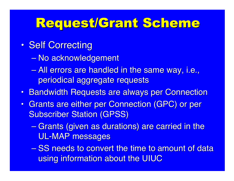## Request/Grant Scheme

- $\bullet$ • Self Correcting
	- $\mathcal{L}_{\mathcal{A}}$  , where  $\mathcal{L}_{\mathcal{A}}$  is the set of the set of the set of the set of the set of the set of the set of the set of the set of the set of the set of the set of the set of the set of the set of the set of the – No acknowledgement
	- All errors are handled in the same way, i.e., periodical aggregate requests
- Bandwidth Requests are always per Connection
- Grants are either per Connection (GPC) or per **Subscriber Station (GPSS)** 
	- Grants (given as durations) are carried in the **UL-MAP messages**
	- $\mathcal{L}_{\mathcal{A}}$  , where  $\mathcal{L}_{\mathcal{A}}$  is the set of the set of the set of the set of the set of the set of the set of the set of the set of the set of the set of the set of the set of the set of the set of the set of the – SS needs to convert the time to amount of data using information about the UIUC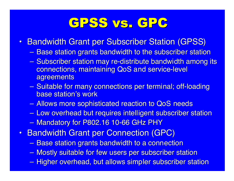### GPSS vs. GPC

- Bandwidth Grant per Subscriber Station (GPSS)
	- –– Base station grants bandwidth to the subscriber station
	- $\mathcal{L}_{\mathcal{A}}$ – Subscriber station may re-distribute bandwidth among its connections, maintaining QoS and service-level agreements
	- $\sim$ — Suitable for many connections per terminal; off-loading base station's work
	- –– Allows more sophisticated reaction to QoS needs
	- $\sim$ – Low overhead but requires intelligent subscriber station
	- –— Mandatory for P802.16 10-66 GHz PHY
- •**Bandwidth Grant per Connection (GPC)** 
	- –– Base station grants bandwidth to a connection
	- –— Mostly suitable for few users per subscriber station
	- $\sim$ – Higher overhead, but allows simpler subscriber station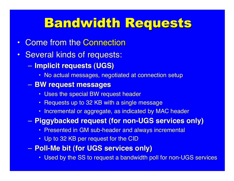## **Bandwidth Requests**

- $\bullet$ **Come from the Connection**
- •**Several kinds of requests:** 
	- – **Implicit requests (UGS) Implicit requests (UGS)**
		- $\textcolor{red}{\bullet}$  No actual messages, negotiated at connection setup
	- **BW request messages BW request messages**
		- $\textcolor{red}{\bullet}$  Uses the special BW request header
		- $\textcolor{red}{\bullet}$  Requests up to 32 KB with a single message
		- Incremental or aggregate, as indicated by MAC header
	- – **Piggybacked request (for non-UGS services only) Piggybacked request (for non-UGS services only)**
		- Presented in GM sub-header and always incremental
		- Up to 32 KB per request for the CID
	- **Poll-Me bit (for UGS services only) Poll-Me bit (for UGS services only)**
		- Used by the SS to request a bandwidth poll for non-UGS services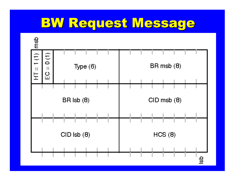## **BW Request Message**

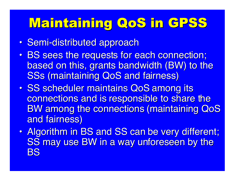## Maintaining QoS in GPSS

- $\bullet$ • Semi-distributed approach
- $\bullet$ • BS sees the requests for each connection; based on this, grants bandwidth (BW) to the **SSs (maintaining QoS and fairness)**
- $\bullet$ • SS scheduler maintains QoS among its connections and is responsible to share the BW among the connections (maintaining QoS and fairness)
- $\bullet$ • Algorithm in BS and SS can be very different; SS may use BW in a way unforeseen by the BS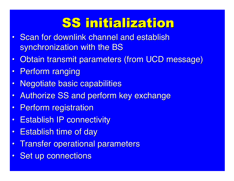# SS initialization SS initialization

- $\bullet$ Scan for downlink channel and establish synchronization with the BS
- •Obtain transmit parameters (from UCD message)
- $\bullet$ **Perform ranging**
- $\bullet$ **Negotiate basic capabilities**
- •Authorize SS and perform key exchange
- $\bullet$ **Perform registration**
- •**Establish IP connectivity**
- •**Establish time of day**
- $\bullet$ **Transfer operational parameters**
- $\bullet$ **Set up connections**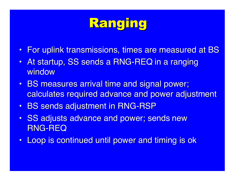# **Ranging**

- For uplink transmissions, times are measured at BS
- At startup, SS sends a RNG-REQ in a ranging window
- BS measures arrival time and signal power; calculates required advance and power adjustment
- BS sends adjustment in RNG-RSP
- $\bullet$ SS adjusts advance and power; sends new **RNG-REQ**
- Loop is continued until power and timing is ok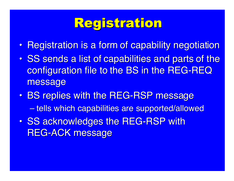# **Registration**

- $\bullet$ • Registration is a form of capability negotiation
- $\bullet$ • SS sends a list of capabilities and parts of the configuration file to the BS in the REG-REQ message
- $\bullet$ • BS replies with the REG-RSP message – tells which capabilities are supported/allowed
- $\bullet$ • SS acknowledges the REG-RSP with **REG-ACK message**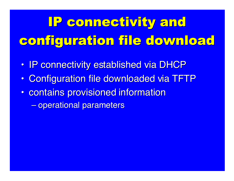# IP connectivity and configuration file download

- $\bullet$ • IP connectivity established via DHCP
- $\bullet$ • Configuration file downloaded via TFTP
- $\bullet$ • contains provisioned information
	- $\mathcal{L}_{\mathcal{A}}$  , where  $\mathcal{L}_{\mathcal{A}}$  is the set of the set of the set of the set of the set of the set of the set of the set of the set of the set of the set of the set of the set of the set of the set of the set of the <u>– operational parameters</u>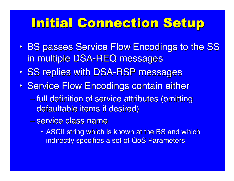## Initial Connection Setup

- $\bullet$ • BS passes Service Flow Encodings to the SS in multiple DSA-REQ messages
- $\bullet$ • SS replies with DSA-RSP messages
- $\bullet$ • Service Flow Encodings contain either
	- $\mathcal{L}_{\mathcal{A}}$ <u>– full definition of service attributes (omitting</u> defaultable items if desired)
	- <u>– service class name</u>
		- ASCII string which is known at the BS and which indirectly specifies a set of QoS Parameters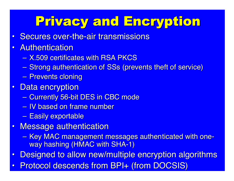# Privacy and Encryption Privacy and Encryption

- $\bullet$ Secures over-the-air transmissions
- •• Authentication
	- X.509 certificates with RSA PKCS
	- Strong authentication of SSs (prevents theft of service)
	- –<u>– Prevents cloning</u>
- •**Data encryption** 
	- Currently 56-bit DES in CBC mode
	- IV based on frame number
	- $\mathcal{L}_{\mathcal{A}}$ – Easily exportable
- $\bullet$ **Message authentication** 
	- Key MAC management messages authenticated with oneway hashing (HMAC with SHA-1)
- $\bullet$ Designed to allow new/multiple encryption algorithms
- $\bullet$ **Protocol descends from BPI+ (from DOCSIS)**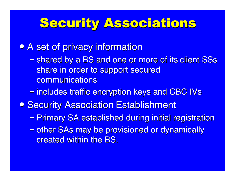#### **Security Associations**

• A set of privacy information

- $\mathcal{L}_{\mathcal{A}}$ – shared by a BS and one or more of its client SSs share in order to support secured communications
- –– includes traffic encryption keys and CBC IVs
- **Security Association Establishment** 
	- –– Primary SA established during initial registration
	- –– other SAs may be provisioned or dynamically created within the BS.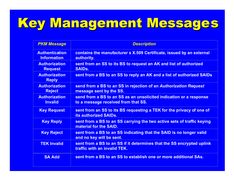# Key Management Messages

| <b>PKM Message</b>                          | <b>Description</b>                                                                                        |  |  |  |  |
|---------------------------------------------|-----------------------------------------------------------------------------------------------------------|--|--|--|--|
| <b>Authentication</b><br><b>Information</b> | contains the manufacturer s X.509 Certificate, issued by an external<br>authority.                        |  |  |  |  |
| <b>Authorization</b><br><b>Request</b>      | sent from an SS to its BS to request an AK and list of authorized<br><b>SAIDs.</b>                        |  |  |  |  |
| <b>Authorization</b><br><b>Reply</b>        | sent from a BS to an SS to reply an AK and a list of authorized SAIDs                                     |  |  |  |  |
| <b>Authorization</b><br><b>Reject</b>       | send from a BS to an SS in rejection of an Authorization Request<br>message sent by the SS.               |  |  |  |  |
| <b>Authorization</b><br><b>Invalid</b>      | send from a BS to an SS as an unsolicited indication or a response<br>to a message received from that SS. |  |  |  |  |
| <b>Key Request</b>                          | sent from an SS to its BS requesting a TEK for the privacy of one of<br>its authorized SAIDs.             |  |  |  |  |
| <b>Key Reply</b>                            | sent from a BS to an SS carrying the two active sets of traffic keying<br>material for the SAID.          |  |  |  |  |
| <b>Key Reject</b>                           | sent from a BS to an SS indicating that the SAID is no longer valid<br>and no key will be sent.           |  |  |  |  |
| <b>TEK Invalid</b>                          | sent from a BS to an SS if it determines that the SS encrypted uplink<br>traffic with an invalid TEK.     |  |  |  |  |
| <b>SA Add</b>                               | sent from a BS to an SS to establish one or more additional SAs.                                          |  |  |  |  |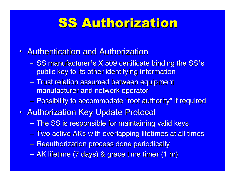## SS Authorization SS Authorization

- Authentication and Authorization
	- <u>- SS manufacturer's X.509 certificate binding the SS's</u> public key to its other identifying information
	- $\mathcal{L}_{\mathcal{A}}$ – Trust relation assumed between equipment manufacturer and network operator
	- $\mathcal{L}_{\mathcal{A}}$ – Possibility to accommodate "root authority" if required
- Authorization Key Update Protocol
	- –– The SS is responsible for maintaining valid keys
	- –— Two active AKs with overlapping lifetimes at all times
	- $\mathcal{L}_{\mathcal{A}}$ — Reauthorization process done periodically
	- –<u>– AK lifetime (7 days) & grace time timer (1 hr)</u>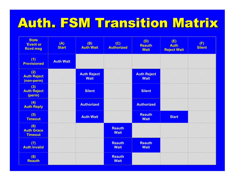# Auth. FSM Transition Matrix Auth. FSM Transition Matrix

| <b>State</b><br><b>Event or</b><br><b>Rcvd msg</b> | (A)<br><b>Start</b> | (B)<br><b>Auth Wait</b>           | (C)<br><b>Authorized</b>     | (D)<br><b>Reauth</b><br><b>Wait</b> | (E)<br><b>Auth</b><br><b>Reject Wait</b> | (F)<br><b>Silent</b> |
|----------------------------------------------------|---------------------|-----------------------------------|------------------------------|-------------------------------------|------------------------------------------|----------------------|
| (1)<br><b>Provisioned</b>                          | <b>Auth Wait</b>    | $\sim 10^{-11}$                   | $\sim 10^{-11}$              | $\sim$                              | $\sim 0.1$                               | $\sim$               |
| (2)<br><b>Auth Reject</b><br>(non-perm)            | $\sim 10^{-11}$     | <b>Auth Reject</b><br><b>Wait</b> | $\sim$ 0 $^{-1}$             | <b>Auth Reject</b><br><b>Wait</b>   | $\sim$ 0 $^{-1}$                         | $\sim$               |
| (3)<br><b>Auth Reject</b><br>(perm)                | $\sim 0.01$         | <b>Silent</b>                     | $\sim 10^{-11}$              | <b>Silent</b>                       | $\sim$ 0 $^{-1}$                         | $\sim$               |
| (4)<br><b>Auth Reply</b>                           | $\sim 10^{-11}$     | <b>Authorized</b>                 | $\sim 10^{-1}$               | <b>Authorized</b>                   | $\sim 0.1$                               | $\sim$               |
| (5)<br><b>Timeout</b>                              | $\sim$              | <b>Auth Wait</b>                  | $\sim$ $\sim$                | <b>Reauth</b><br><b>Wait</b>        | <b>Start</b>                             | $\sim$               |
| (6)<br><b>Auth Grace</b><br><b>Timeout</b>         | $\sim 10^{-11}$     | $\sim$ $\sim$                     | <b>Reauth</b><br><b>Wait</b> | $\sim 0.01$                         | $\sim$                                   | $\sim$               |
| (7)<br><b>Auth Invalid</b>                         | $\sim$              | $\sim$ 0 $^{-1}$                  | <b>Reauth</b><br><b>Wait</b> | <b>Reauth</b><br><b>Wait</b>        | $\sim$ $\alpha$                          | $\sim$               |
| (8)<br><b>Reauth</b>                               | $\sim$ $\sim$       | $\sim 0.1$                        | <b>Reauth</b><br><b>Wait</b> | $\sim$ 0 $^{-1}$                    | $\sim$ 0 $^{-1}$                         | $\sim$               |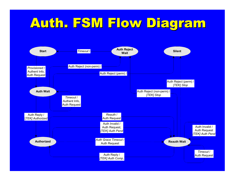# Auth. FSM Flow Diagram

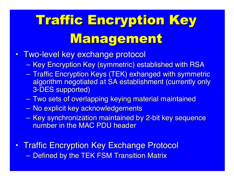# **Traffic Encryption Key** Management

- Two-level key exchange protocol
	- Key Encryption Key (symmetric) established with RSA
	- Traffic Encryption Keys (TEK) exhanged with symmetric algorithm negotiated at SA establishment (currently only 3-DES supported) 3-DES supported)
	- Two sets of overlapping keying material maintained
	- No explicit key acknowledgements
	- $\mathcal{L}_{\mathcal{A}}$ — Key synchronization maintained by 2-bit key sequence number in the MAC PDU header
- Traffic Encryption Key Exchange Protocol – Defined by the TEK FSM Transition Matrix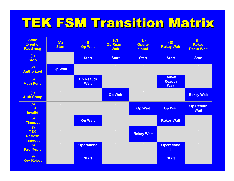# TEK FSM Transition Matrix

| <b>State</b><br><b>Event or</b><br><b>Rcvd msg</b>    | (A)<br><b>Start</b>     | (B)<br><b>Op Wait</b>           | (C)<br><b>Op Reauth</b><br><b>Wait</b> | (D)<br>Opera-<br>tional | (E)<br><b>Rekey Wait</b>                     | (F)<br><b>Rekey</b><br><b>Reaut Wait</b> |
|-------------------------------------------------------|-------------------------|---------------------------------|----------------------------------------|-------------------------|----------------------------------------------|------------------------------------------|
| (1)<br><b>Stop</b>                                    | $\sim$ 0 $^{-1}$        | <b>Start</b>                    | <b>Start</b>                           | <b>Start</b>            | <b>Start</b>                                 | <b>Start</b>                             |
| (2)<br><b>Authorized</b>                              | <b>Op Wait</b>          | $\sim$ 0 $^{-1}$                | $\sim 0.01$                            | $\sim$ 0 $^{-1}$        | $\sim$ 0 $^{-1}$                             | $\sim 10^{-1}$                           |
| (3)<br><b>Auth Pend</b>                               | $\sim$ 0 $^{-1}$        | <b>Op Reauth</b><br><b>Wait</b> | $\sim$                                 | $\sim$                  | <b>Rekey</b><br><b>Reauth</b><br><b>Wait</b> | $\sim$                                   |
| (4)<br><b>Auth Comp</b>                               | $\sim$ $\sigma$ $^{-1}$ | $\sim 0.1$                      | <b>Op Wait</b>                         | $\sim 0.1$              | $\sim$ 0 $^{-1}$                             | <b>Rekey Wait</b>                        |
| (5)<br><b>TEK</b><br><b>Invalid</b>                   | $\sim$ $\sim$           | $\sim$                          | $\sim 10^{-1}$                         | <b>Op Wait</b>          | <b>Op Wait</b>                               | <b>Op Reauth</b><br><b>Wait</b>          |
| (6)<br><b>Timeout</b>                                 | $\sim$ $\sim$           | <b>Op Wait</b>                  | $\sim$                                 | $\sim$ 0 $^{-1}$        | <b>Rekey Wait</b>                            | $\sim$                                   |
| (7)<br><b>TEK</b><br><b>Refresh</b><br><b>Timeout</b> | $\sim$ $\sim$           | $\sim$ $\sim$                   | $\sim$                                 | <b>Rekey Wait</b>       | $\sim 10^{-11}$                              | $\sim$                                   |
| (8)<br><b>Key Reply</b>                               | $\sim$ $\sim$           | <b>Operationa</b>               | $\sim$ $\sim$                          | $\sim$ 0 $^{-1}$        | <b>Operationa</b><br>T                       | $\sim$ $\sim$                            |
| (9)<br><b>Key Reject</b>                              | $\sim$ $\sim$           | <b>Start</b>                    | $\sim$ $\sim$                          | $\sim$                  | <b>Start</b>                                 | $\sim$ $\sim$                            |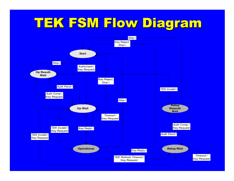## TEK FSM Flow Diagram TEK FSM Flow Diagram

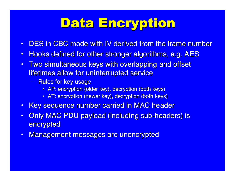# Data Encryption

- •DES in CBC mode with IV derived from the frame number
- $\bullet$ Hooks defined for other stronger algorithms, e.g. AES
- $\bullet$ Two simultaneous keys with overlapping and offset lifetimes allow for uninterrupted service
	- <u>– Rules for key usage</u>
		- AP: encryption (older key), decryption (both keys)
		- AT: encryption (newer key), decryption (both keys)
- $\bullet$ Key sequence number carried in MAC header
- $\bullet$ Only MAC PDU payload (including sub-headers) is encrypted
- $\bullet$ Management messages are unencrypted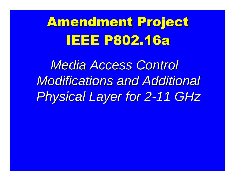# **Amendment Project** <u>IEEE P802.16a</u>

*Media Access Control Media Access Control Modifications and Additional Modifications and Additional Physical Layer for 2-11 GHz Physical Layer for 2-11 GHz*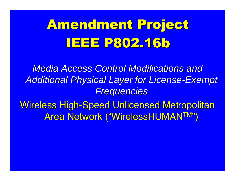# Amendment Project **IEEE P802.16b**

*Media Access Control Modifications and Media Access Control Modifications and Additional Physical Layer for License-Exemp Additional Physical Layer for License-Exemp t Frequencies Frequencies*

Wireless High-Speed Unlicensed Metropolitan **Area Network ("WirelessHUMANTM")**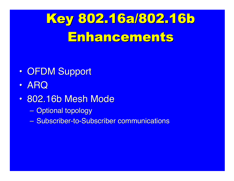# Key 802.16a/802.16b Enhancements

- $\bullet$ • OFDM Support
- $\bullet$ ARQ
- $\bullet$ • 802.16b Mesh Mode
	- –<mark>– Optional topology</mark>
	- Subscriber-to-Subscriber communications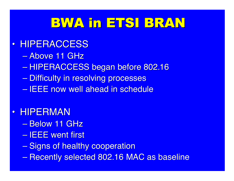# BWA in ETSI BRAN

#### $\bullet$ **• HIPERACCESS**

- $\mathcal{L}_{\mathcal{A}}$  , where  $\mathcal{L}_{\mathcal{A}}$  is the set of the set of the set of the set of the set of the set of the set of the set of the set of the set of the set of the set of the set of the set of the set of the set of the <mark>- Above 11 GHz</mark>
- $\mathcal{L}_{\mathcal{A}}$  , where  $\mathcal{L}_{\mathcal{A}}$  is the set of the set of the set of the set of the set of the set of the set of the set of the set of the set of the set of the set of the set of the set of the set of the set of the – HIPERACCESS began before 802.16
- <del>Jan Karl II.</del> <u>– Difficulty in resolving processes</u>
- <del>Jan Karl II.</del> – IEEE now well ahead in schedule

#### $\bullet$ • HIPERMAN

- <del>Jan Karl II.</del> <mark>– Below 11 GHz</mark>
- $\mathcal{L}_{\mathcal{A}}$ <u>– IEEE went first</u>
- $\mathcal{L}_{\mathcal{A}}$  , where  $\mathcal{L}_{\mathcal{A}}$  is the set of the set of the set of the set of the set of the set of the set of the set of the set of the set of the set of the set of the set of the set of the set of the set of the <u>– Signs of healthy cooperation</u>
- $\mathcal{L}_{\mathcal{A}}$  , where  $\mathcal{L}_{\mathcal{A}}$  is the set of the set of the set of the set of the set of the set of the set of the set of the set of the set of the set of the set of the set of the set of the set of the set of the — Recently selected 802.16 MAC as baseline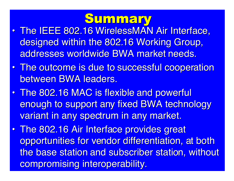## **Summary**

- $\bullet$ • The IEEE 802.16 WirelessMAN Air Interface, designed within the 802.16 Working Group, addresses worldwide BWA market needs.
- $\bullet$ • The outcome is due to successful cooperation between BWA leaders.
- $\bullet$ • The 802.16 MAC is flexible and powerful enough to support any fixed BWA technology variant in any spectrum in any market.
- $\bullet$ • The 802.16 Air Interface provides great opportunities for vendor differentiation, at both the base station and subscriber station, without compromising interoperability.